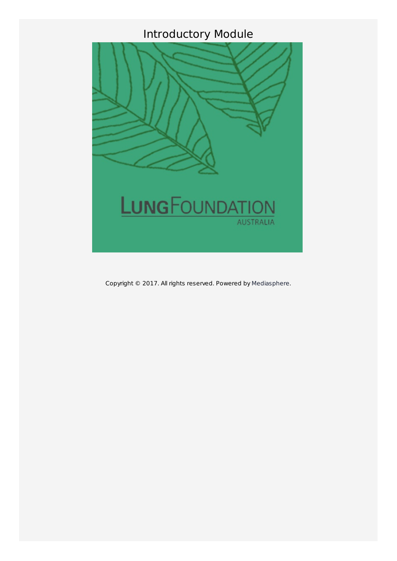Introductory Module



Copyright © 2017. All rights reserved. Powered by [Mediasphere.](http://www.mediasphere.com.au)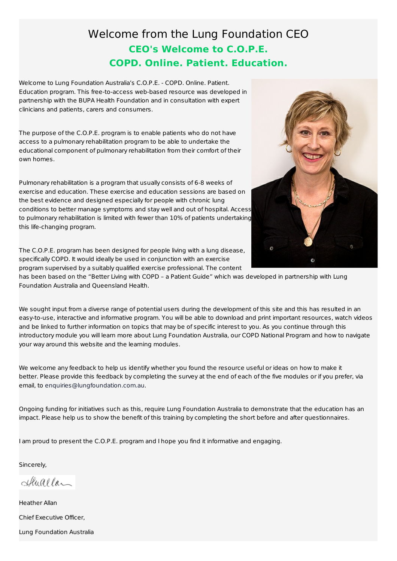## Welcome from the Lung Foundation CEO **CEO's Welcome to C.O.P.E. COPD. Online. Patient. Education.**

Welcome to Lung Foundation Australia's C.O.P.E. - COPD. Online. Patient. Education program. This free-to-access web-based resource was developed in partnership with the BUPA Health Foundation and in consultation with expert clinicians and patients, carers and consumers.

The purpose of the C.O.P.E. program is to enable patients who do not have access to a pulmonary rehabilitation program to be able to undertake the educational component of pulmonary rehabilitation from their comfort of their own homes.

Pulmonary rehabilitation is a program that usually consists of 6-8 weeks of exercise and education. These exercise and education sessions are based on the best evidence and designed especially for people with chronic lung conditions to better manage symptoms and stay well and out of hospital. Access to pulmonary rehabilitation is limited with fewer than 10% of patients undertaking this life-changing program.



The C.O.P.E. program has been designed for people living with a lung disease, specifically COPD. It would ideally be used in conjunction with an exercise program supervised by a suitably qualified exercise professional. The content

has been based on the "Better Living with COPD – a Patient Guide" which was developed in partnership with Lung Foundation Australia and Queensland Health.

We sought input from a diverse range of potential users during the development of this site and this has resulted in an easy-to-use, interactive and informative program. You will be able to download and print important resources, watch videos and be linked to further information on topics that may be of specific interest to you. As you continue through this introductory module you will learn more about Lung Foundation Australia, our COPD National Program and how to navigate your way around this website and the learning modules.

We welcome any feedback to help us identify whether you found the resource useful or ideas on how to make it better. Please provide this feedback by completing the survey at the end of each of the five modules or if you prefer, via email, to [enquiries@lungfoundation.com.au](mailto:enquiries@lungfoundation.com.au).

Ongoing funding for initiatives such as this, require Lung Foundation Australia to demonstrate that the education has an impact. Please help us to show the benefit of this training by completing the short before and after questionnaires.

I am proud to present the C.O.P.E. program and I hope you find it informative and engaging.

Sincerely,

 $dlnaln$ 

Heather Allan Chief Executive Officer, Lung Foundation Australia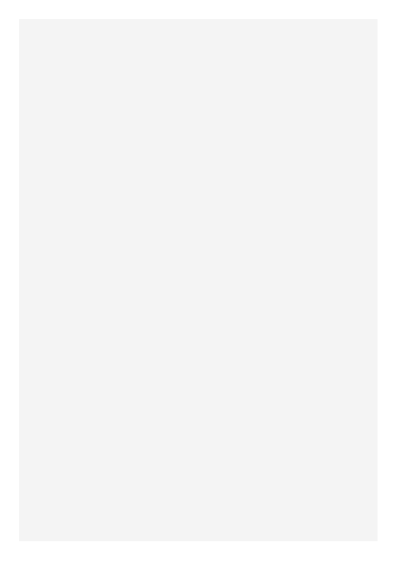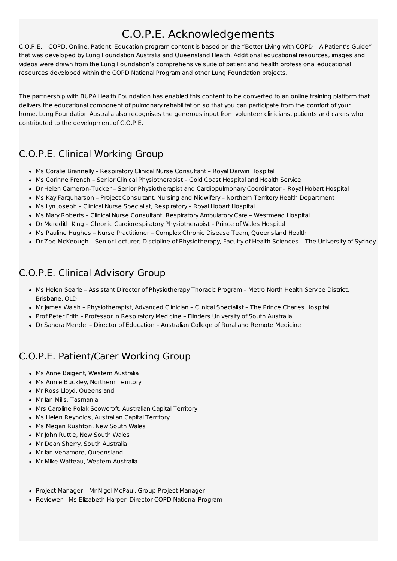# C.O.P.E. Acknowledgements

C.O.P.E. – COPD. Online. Patient. Education program content is based on the "Better Living with COPD – A Patient's Guide" that was developed by Lung Foundation Australia and Queensland Health. Additional educational resources, images and videos were drawn from the Lung Foundation's comprehensive suite of patient and health professional educational resources developed within the COPD National Program and other Lung Foundation projects.

The partnership with BUPA Health Foundation has enabled this content to be converted to an online training platform that delivers the educational component of pulmonary rehabilitation so that you can participate from the comfort of your home. Lung Foundation Australia also recognises the generous input from volunteer clinicians, patients and carers who contributed to the development of C.O.P.E.

### C.O.P.E. Clinical Working Group

- Ms Coralie Brannelly Respiratory Clinical Nurse Consultant Royal Darwin Hospital
- Ms Corinne French Senior Clinical Physiotherapist Gold Coast Hospital and Health Service
- Dr Helen Cameron-Tucker Senior Physiotherapist and Cardiopulmonary Coordinator Royal Hobart Hospital
- Ms Kay Farquharson Project Consultant, Nursing and Midwifery Northern Territory Health Department
- Ms Lyn Joseph Clinical Nurse Specialist, Respiratory Royal Hobart Hospital
- Ms Mary Roberts Clinical Nurse Consultant, Respiratory Ambulatory Care Westmead Hospital
- Dr Meredith King Chronic Cardiorespiratory Physiotherapist Prince of Wales Hospital
- Ms Pauline Hughes Nurse Practitioner Complex Chronic Disease Team, Queensland Health
- Dr Zoe McKeough Senior Lecturer, Discipline of Physiotherapy, Faculty of Health Sciences The University of Sydney

### C.O.P.E. Clinical Advisory Group

- Ms Helen Searle Assistant Director of Physiotherapy Thoracic Program Metro North Health Service District, Brisbane, QLD
- Mr James Walsh Physiotherapist, Advanced Clinician Clinical Specialist The Prince Charles Hospital
- Prof Peter Frith Professor in Respiratory Medicine Flinders University of South Australia
- Dr Sandra Mendel Director of Education Australian College of Rural and Remote Medicine

### C.O.P.E. Patient/Carer Working Group

- Ms Anne Baigent, Western Australia
- Ms Annie Buckley, Northern Territory
- Mr Ross Lloyd, Queensland
- Mr Ian Mills, Tasmania
- Mrs Caroline Polak Scowcroft, Australian Capital Territory
- Ms Helen Reynolds, Australian Capital Territory
- Ms Megan Rushton, New South Wales
- Mr John Ruttle, New South Wales
- Mr Dean Sherry, South Australia
- Mr Ian Venamore, Oueensland
- Mr Mike Watteau, Western Australia
- Project Manager Mr Nigel McPaul, Group Project Manager
- Reviewer Ms Elizabeth Harper, Director COPD National Program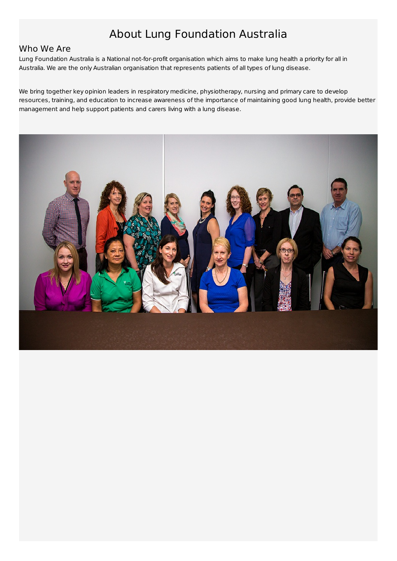## About Lung Foundation Australia

#### Who We Are

Lung Foundation Australia is a National not-for-profit organisation which aims to make lung health a priority for all in Australia. We are the only Australian organisation that represents patients of all types of lung disease.

We bring together key opinion leaders in respiratory medicine, physiotherapy, nursing and primary care to develop resources, training, and education to increase awareness of the importance of maintaining good lung health, provide better management and help support patients and carers living with a lung disease.

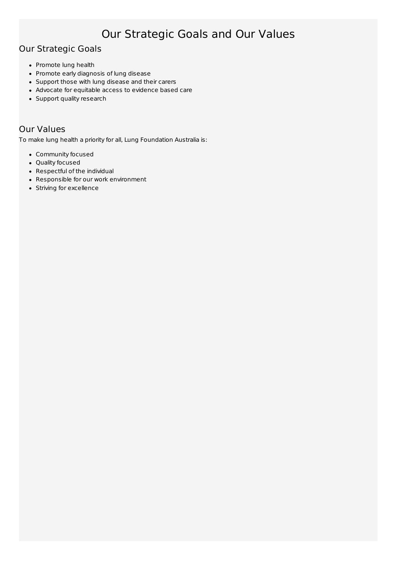## Our Strategic Goals and Our Values

### Our Strategic Goals

- Promote lung health
- Promote early diagnosis of lung disease
- Support those with lung disease and their carers
- Advocate for equitable access to evidence based care
- Support quality research

#### Our Values

To make lung health a priority for all, Lung Foundation Australia is:

- Community focused
- Quality focused
- Respectful of the individual
- Responsible for our work environment
- Striving for excellence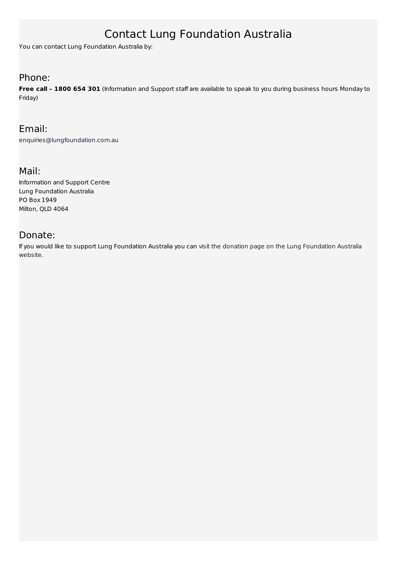# Contact Lung Foundation Australia

You can contact Lung Foundation Australia by:

#### Phone:

**Free call – 1800 654 301** (Information and Support staff are available to speak to you during business hours Monday to Friday)

### Email:

[enquiries@lungfoundation.com.au](mailto:enquiries@lungfoundation.com.au)

### Mail:

Information and Support Centre Lung Foundation Australia PO Box 1949 Milton, QLD 4064

#### Donate:

If you would like to support Lung [Foundation](http://lungfoundation.com.au/get-involved/donation/) Australia you can visit the donation page on the Lung Foundation Australia website.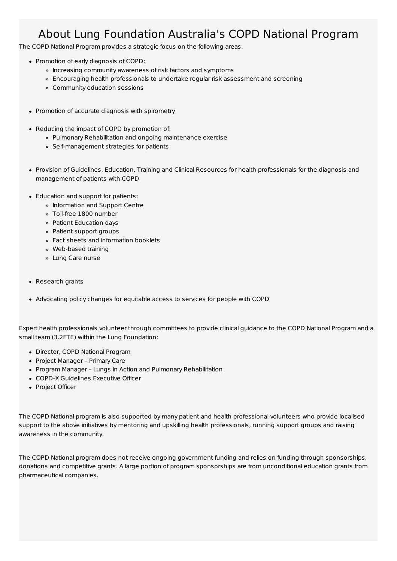# About Lung Foundation Australia's COPD National Program

The COPD National Program provides a strategic focus on the following areas:

- Promotion of early diagnosis of COPD:
	- Increasing community awareness of risk factors and symptoms
	- Encouraging health professionals to undertake regular risk assessment and screening
	- Community education sessions
- Promotion of accurate diagnosis with spirometry
- Reducing the impact of COPD by promotion of:
	- Pulmonary Rehabilitation and ongoing maintenance exercise
	- Self-management strategies for patients
- Provision of Guidelines, Education, Training and Clinical Resources for health professionals for the diagnosis and management of patients with COPD
- Education and support for patients:
	- Information and Support Centre
	- Toll-free 1800 number
	- Patient Education days
	- Patient support groups
	- Fact sheets and information booklets
	- Web-based training
	- Lung Care nurse
- Research grants
- Advocating policy changes for equitable access to services for people with COPD

Expert health professionals volunteer through committees to provide clinical guidance to the COPD National Program and a small team (3.2FTE) within the Lung Foundation:

- Director, COPD National Program
- Project Manager Primary Care
- Program Manager Lungs in Action and Pulmonary Rehabilitation
- COPD-X Guidelines Executive Officer
- Project Officer

The COPD National program is also supported by many patient and health professional volunteers who provide localised support to the above initiatives by mentoring and upskilling health professionals, running support groups and raising awareness in the community.

The COPD National program does not receive ongoing government funding and relies on funding through sponsorships, donations and competitive grants. A large portion of program sponsorships are from unconditional education grants from pharmaceutical companies.